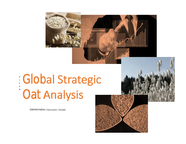

Global Strategic Oat Analysis

Oatinformation, Vancouver, Canada



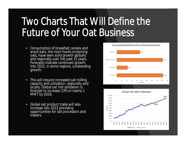## Two Charts That Will Define the Future of Your Oat Business

- Consumption of breakfast cereals and snack bars, the main foods containing oats, have seen solid growth globally and regionally over the past 15 years. Forecasts indicate continued growth into 2022, in some regions, outstanding growth.
- This will require increased oat milling capacity and utilization, regionally and locally. Global oat mill utilization is forecast to increase 23% or nearly 1 MMT by 2026.
- Global oat product trade will also increase into 2022 providing opportunities for oat processors and traders.



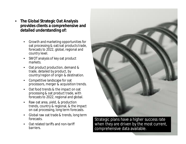- **The Global Strategic Oat Analysis provides clients a comprehensive and detailed understanding of:**
	- Growth and marketing opportunities for oat processing & oat/oat products trade, forecasts to 2022, global, regional and country level.
	- SWOT analysis of key oat product markets.
	- Oat product production, demand & trade, detailed by product, by country/region of origin & destination.
	- Competitive landscape for oat processors, merger & acquisition trends.
	- Oat food trends & the impact on oat processing & oat product trade, with forecasts to 2022, regional and global.
	- Raw oat area, yield, & production trends, country & regional, & the impact on oat processing, long term forecasts.
	- Global raw oat trade & trends, long term forecasts.
	- Oat related tariffs and non-tariff barriers.



Strategic plans have a higher success rate when they are driven by the most current, comprehensive data available.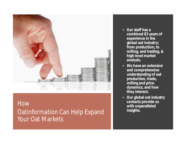

**How** Oatinformation Can Help Expand Your Oat Markets

- **Our staff has a combined 83 years of experience in the global oat industry; from production, to milling, and trading, & high-level market analysis.**
- **We have an extensive and comprehensive understanding of oat production, trade, milling and price dynamics, and how they interact.**
- **Our global oat industry contacts provide us with unparalleled insights.**